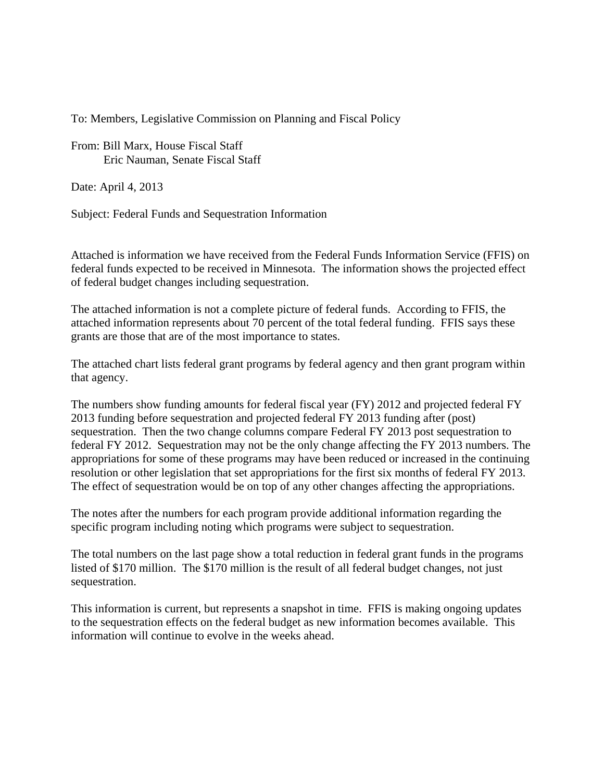To: Members, Legislative Commission on Planning and Fiscal Policy

From: Bill Marx, House Fiscal Staff Eric Nauman, Senate Fiscal Staff

Date: April 4, 2013

Subject: Federal Funds and Sequestration Information

Attached is information we have received from the Federal Funds Information Service (FFIS) on federal funds expected to be received in Minnesota. The information shows the projected effect of federal budget changes including sequestration.

The attached information is not a complete picture of federal funds. According to FFIS, the attached information represents about 70 percent of the total federal funding. FFIS says these grants are those that are of the most importance to states.

The attached chart lists federal grant programs by federal agency and then grant program within that agency.

The numbers show funding amounts for federal fiscal year (FY) 2012 and projected federal FY 2013 funding before sequestration and projected federal FY 2013 funding after (post) sequestration. Then the two change columns compare Federal FY 2013 post sequestration to federal FY 2012. Sequestration may not be the only change affecting the FY 2013 numbers. The appropriations for some of these programs may have been reduced or increased in the continuing resolution or other legislation that set appropriations for the first six months of federal FY 2013. The effect of sequestration would be on top of any other changes affecting the appropriations.

The notes after the numbers for each program provide additional information regarding the specific program including noting which programs were subject to sequestration.

The total numbers on the last page show a total reduction in federal grant funds in the programs listed of \$170 million. The \$170 million is the result of all federal budget changes, not just sequestration.

This information is current, but represents a snapshot in time. FFIS is making ongoing updates to the sequestration effects on the federal budget as new information becomes available. This information will continue to evolve in the weeks ahead.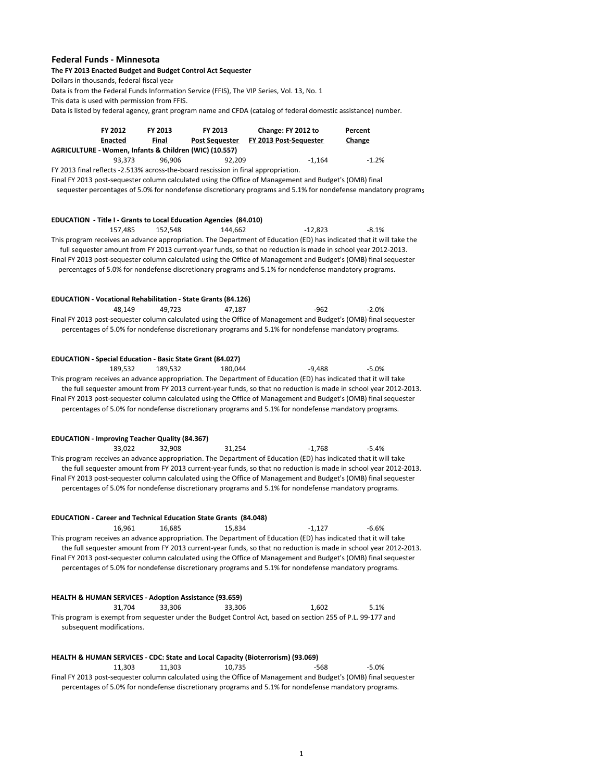## **Federal Funds ‐ Minnesota**

## **The FY 2013 Enacted Budget and Budget Control Act Sequester**

Dollars in thousands, federal fiscal year

Data is from the Federal Funds Information Service (FFIS), The VIP Series, Vol. 13, No. 1

This data is used with permission from FFIS.

Data is listed by federal agency, grant program name and CFDA (catalog of federal domestic assistance) number.

|                                                        | FY 2012<br><b>Enacted</b> | FY 2013<br>Final | FY 2013<br><b>Post Sequester</b> | Change: FY 2012 to<br>FY 2013 Post-Sequester | Percent<br>Change |  |  |  |
|--------------------------------------------------------|---------------------------|------------------|----------------------------------|----------------------------------------------|-------------------|--|--|--|
| AGRICULTURE - Women. Infants & Children (WIC) (10.557) |                           |                  |                                  |                                              |                   |  |  |  |
|                                                        | 93.373                    | 96.906           | 92.209                           | $-1.164$                                     | $-1.2%$           |  |  |  |

FY 2013 final reflects -2.513% across-the-board rescission in final appropriation.

Final FY 2013 post-sequester column calculated using the Office of Management and Budget's (OMB) final sequester percentages of 5.0% for nondefense discretionary programs and 5.1% for nondefense mandatory programs

| EDUCATION - Title I - Grants to Local Education Agencies (84.010)                                                                                                                                                                                                                                                                                                                                                                                                             |         |         |           |         |
|-------------------------------------------------------------------------------------------------------------------------------------------------------------------------------------------------------------------------------------------------------------------------------------------------------------------------------------------------------------------------------------------------------------------------------------------------------------------------------|---------|---------|-----------|---------|
| 157,485<br>This program receives an advance appropriation. The Department of Education (ED) has indicated that it will take the<br>full sequester amount from FY 2013 current-year funds, so that no reduction is made in school year 2012-2013.<br>Final FY 2013 post-sequester column calculated using the Office of Management and Budget's (OMB) final sequester<br>percentages of 5.0% for nondefense discretionary programs and 5.1% for nondefense mandatory programs. | 152,548 | 144.662 | $-12,823$ | $-8.1%$ |
| <b>EDUCATION - Vocational Rehabilitation - State Grants (84.126)</b><br>48.149<br>Final FY 2013 post-sequester column calculated using the Office of Management and Budget's (OMB) final sequester<br>percentages of 5.0% for nondefense discretionary programs and 5.1% for nondefense mandatory programs.                                                                                                                                                                   | 49,723  | 47,187  | $-962$    | $-2.0%$ |
| <b>EDUCATION - Special Education - Basic State Grant (84.027)</b>                                                                                                                                                                                                                                                                                                                                                                                                             |         |         |           |         |
| 189,532<br>This program receives an advance appropriation. The Department of Education (ED) has indicated that it will take<br>the full sequester amount from FY 2013 current-year funds, so that no reduction is made in school year 2012-2013.<br>Final FY 2013 post-sequester column calculated using the Office of Management and Budget's (OMB) final sequester<br>percentages of 5.0% for nondefense discretionary programs and 5.1% for nondefense mandatory programs. | 189,532 | 180.044 | $-9.488$  | $-5.0%$ |
| <b>EDUCATION - Improving Teacher Quality (84.367)</b>                                                                                                                                                                                                                                                                                                                                                                                                                         |         |         |           |         |
| 33,022<br>This program receives an advance appropriation. The Department of Education (ED) has indicated that it will take<br>the full sequester amount from FY 2013 current-year funds, so that no reduction is made in school year 2012-2013.<br>Final FY 2013 post-sequester column calculated using the Office of Management and Budget's (OMB) final sequester<br>percentages of 5.0% for nondefense discretionary programs and 5.1% for nondefense mandatory programs.  | 32,908  | 31,254  | $-1,768$  | $-5.4%$ |
| <b>EDUCATION - Career and Technical Education State Grants (84.048)</b>                                                                                                                                                                                                                                                                                                                                                                                                       |         |         |           |         |
| 16,961<br>This program receives an advance appropriation. The Department of Education (ED) has indicated that it will take<br>the full sequester amount from FY 2013 current-year funds, so that no reduction is made in school year 2012-2013.<br>Final FY 2013 post-sequester column calculated using the Office of Management and Budget's (OMB) final sequester<br>percentages of 5.0% for nondefense discretionary programs and 5.1% for nondefense mandatory programs.  | 16,685  | 15.834  | $-1.127$  | $-6.6%$ |
| <b>HEALTH &amp; HUMAN SERVICES - Adoption Assistance (93.659)</b>                                                                                                                                                                                                                                                                                                                                                                                                             |         |         |           |         |
| 31,704<br>This program is exempt from sequester under the Budget Control Act, based on section 255 of P.L. 99-177 and<br>subsequent modifications.                                                                                                                                                                                                                                                                                                                            | 33,306  | 33,306  | 1,602     | 5.1%    |
| HEALTH & HUMAN SERVICES - CDC: State and Local Capacity (Bioterrorism) (93.069)                                                                                                                                                                                                                                                                                                                                                                                               |         |         |           |         |

11,303 11,303 10,735 -568 -5.0% Final FY 2013 post‐sequester column calculated using the Office of Management and Budget's (OMB) final sequester percentages of 5.0% for nondefense discretionary programs and 5.1% for nondefense mandatory programs.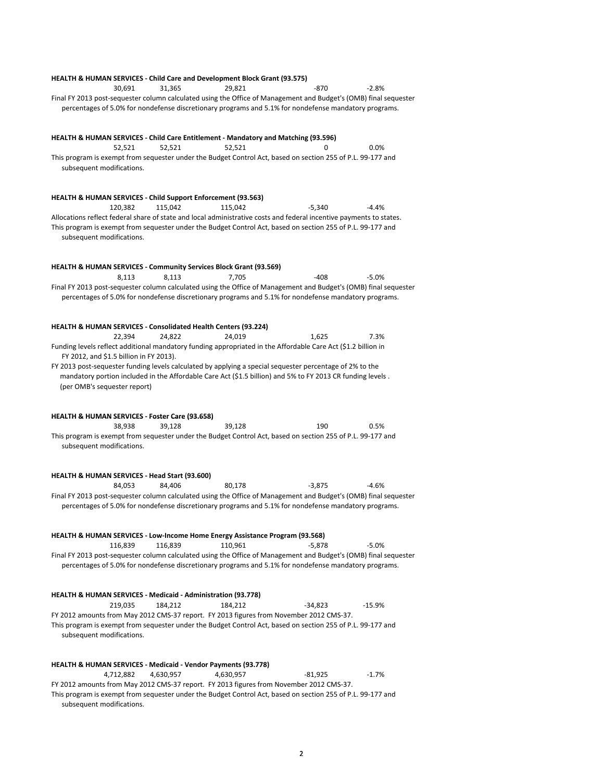## **HEALTH & HUMAN SERVICES ‐ Child Care and Development Block Grant (93.575)** 30,691 31,365 29,821 -870 -2.8% Final FY 2013 post‐sequester column calculated using the Office of Management and Budget's (OMB) final sequester percentages of 5.0% for nondefense discretionary programs and 5.1% for nondefense mandatory programs. **HEALTH & HUMAN SERVICES ‐ Child Care Entitlement ‐ Mandatory and Matching (93.596)** 52,521 52,521 52,521 0 0.0% This program is exempt from sequester under the Budget Control Act, based on section 255 of P.L. 99‐177 and subsequent modifications. **HEALTH & HUMAN SERVICES ‐ Child Support Enforcement (93.563)** 120,382 115,042 115,042 -5,340 -4.4% Allocations reflect federal share of state and local administrative costs and federal incentive payments to states. This program is exempt from sequester under the Budget Control Act, based on section 255 of P.L. 99‐177 and subsequent modifications. **HEALTH & HUMAN SERVICES ‐ Community Services Block Grant (93.569)** 8,113 8,113 7,705 -408 -5.0% Final FY 2013 post‐sequester column calculated using the Office of Management and Budget's (OMB) final sequester percentages of 5.0% for nondefense discretionary programs and 5.1% for nondefense mandatory programs. **HEALTH & HUMAN SERVICES ‐ Consolidated Health Centers (93.224)** 22,394 24,822 24,019 1,625 7.3% Funding levels reflect additional mandatory funding appropriated in the Affordable Care Act (\$1.2 billion in FY 2012, and \$1.5 billion in FY 2013). FY 2013 post‐sequester funding levels calculated by applying a special sequester percentage of 2% to the mandatory portion included in the Affordable Care Act (\$1.5 billion) and 5% to FY 2013 CR funding levels . (per OMB's sequester report) **HEALTH & HUMAN SERVICES ‐ Foster Care (93.658)** 38,938 39,128 39,128 190 0.5% This program is exempt from sequester under the Budget Control Act, based on section 255 of P.L. 99‐177 and subsequent modifications. **HEALTH & HUMAN SERVICES ‐ Head Start (93.600)** 84,053 84,406 80,178 ‐3,875 ‐4.6% Final FY 2013 post‐sequester column calculated using the Office of Management and Budget's (OMB) final sequester percentages of 5.0% for nondefense discretionary programs and 5.1% for nondefense mandatory programs. **HEALTH & HUMAN SERVICES ‐ Low‐Income Home Energy Assistance Program (93.568)** 116,839 116,839 110,961 ‐5,878 ‐5.0% Final FY 2013 post‐sequester column calculated using the Office of Management and Budget's (OMB) final sequester percentages of 5.0% for nondefense discretionary programs and 5.1% for nondefense mandatory programs. **HEALTH & HUMAN SERVICES ‐ Medicaid ‐ Administration (93.778)** 219,035 184,212 184,212 -34,823 -15.9% FY 2012 amounts from May 2012 CMS‐37 report. FY 2013 figures from November 2012 CMS‐37. This program is exempt from sequester under the Budget Control Act, based on section 255 of P.L. 99‐177 and subsequent modifications. **HEALTH & HUMAN SERVICES ‐ Medicaid ‐ Vendor Payments (93.778)** 4,712,882 4,630,957 4,630,957 ‐81,925 ‐1.7% FY 2012 amounts from May 2012 CMS‐37 report. FY 2013 figures from November 2012 CMS‐37. This program is exempt from sequester under the Budget Control Act, based on section 255 of P.L. 99‐177 and

subsequent modifications.

2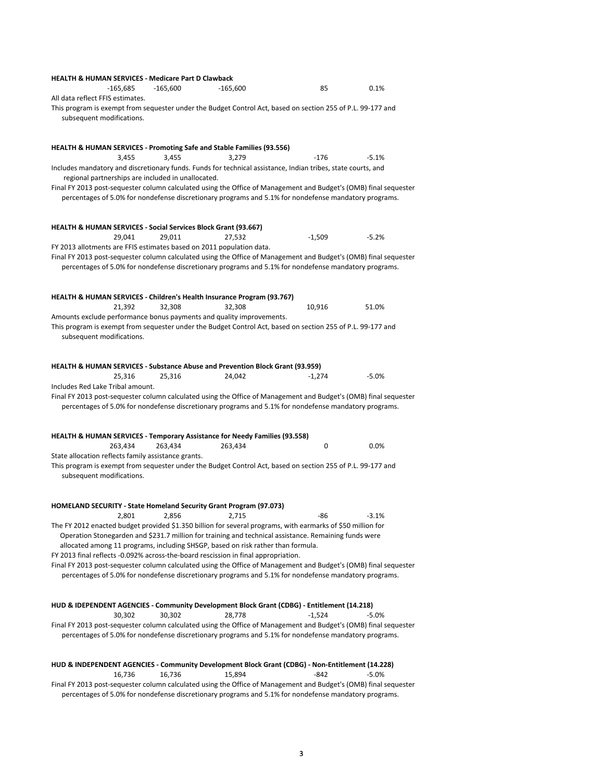| <b>HEALTH &amp; HUMAN SERVICES - Medicare Part D Clawback</b>                                                                                                                                                             |                   |            |          |         |
|---------------------------------------------------------------------------------------------------------------------------------------------------------------------------------------------------------------------------|-------------------|------------|----------|---------|
| $-165,685$                                                                                                                                                                                                                | $-165,600$        | $-165,600$ | 85       | 0.1%    |
| All data reflect FFIS estimates.<br>This program is exempt from sequester under the Budget Control Act, based on section 255 of P.L. 99-177 and                                                                           |                   |            |          |         |
| subsequent modifications.                                                                                                                                                                                                 |                   |            |          |         |
| HEALTH & HUMAN SERVICES - Promoting Safe and Stable Families (93.556)                                                                                                                                                     | 3,455             | 3,279      | -176     | $-5.1%$ |
| 3,455<br>Includes mandatory and discretionary funds. Funds for technical assistance, Indian tribes, state courts, and<br>regional partnerships are included in unallocated.                                               |                   |            |          |         |
| Final FY 2013 post-sequester column calculated using the Office of Management and Budget's (OMB) final sequester<br>percentages of 5.0% for nondefense discretionary programs and 5.1% for nondefense mandatory programs. |                   |            |          |         |
| <b>HEALTH &amp; HUMAN SERVICES - Social Services Block Grant (93.667)</b><br>29,041                                                                                                                                       | 29,011            | 27,532     | $-1,509$ | $-5.2%$ |
| FY 2013 allotments are FFIS estimates based on 2011 population data.<br>Final FY 2013 post-sequester column calculated using the Office of Management and Budget's (OMB) final sequester                                  |                   |            |          |         |
| percentages of 5.0% for nondefense discretionary programs and 5.1% for nondefense mandatory programs.                                                                                                                     |                   |            |          |         |
| HEALTH & HUMAN SERVICES - Children's Health Insurance Program (93.767)                                                                                                                                                    |                   |            |          |         |
| 21,392<br>Amounts exclude performance bonus payments and quality improvements.                                                                                                                                            | 32.308            | 32,308     | 10,916   | 51.0%   |
| This program is exempt from sequester under the Budget Control Act, based on section 255 of P.L. 99-177 and<br>subsequent modifications.                                                                                  |                   |            |          |         |
| <b>HEALTH &amp; HUMAN SERVICES - Substance Abuse and Prevention Block Grant (93.959)</b><br>25,316                                                                                                                        | 25,316            | 24,042     | $-1,274$ | $-5.0%$ |
| Includes Red Lake Tribal amount.                                                                                                                                                                                          |                   |            |          |         |
| Final FY 2013 post-sequester column calculated using the Office of Management and Budget's (OMB) final sequester<br>percentages of 5.0% for nondefense discretionary programs and 5.1% for nondefense mandatory programs. |                   |            |          |         |
| HEALTH & HUMAN SERVICES - Temporary Assistance for Needy Families (93.558)                                                                                                                                                |                   |            |          |         |
| 263,434<br>State allocation reflects family assistance grants.                                                                                                                                                            | 263,434           | 263,434    | 0        | 0.0%    |
| This program is exempt from sequester under the Budget Control Act, based on section 255 of P.L. 99-177 and<br>subsequent modifications.                                                                                  |                   |            |          |         |
| <b>HOMELAND SECURITY - State Homeland Security Grant Program (97.073)</b>                                                                                                                                                 |                   |            |          |         |
|                                                                                                                                                                                                                           | 2,801 2,856 2,715 |            | -86      | 3.1%    |
| The FY 2012 enacted budget provided \$1.350 billion for several programs, with earmarks of \$50 million for<br>Operation Stonegarden and \$231.7 million for training and technical assistance. Remaining funds were      |                   |            |          |         |
| allocated among 11 programs, including SHSGP, based on risk rather than formula.<br>FY 2013 final reflects -0.092% across-the-board rescission in final appropriation.                                                    |                   |            |          |         |
| Final FY 2013 post-sequester column calculated using the Office of Management and Budget's (OMB) final sequester<br>percentages of 5.0% for nondefense discretionary programs and 5.1% for nondefense mandatory programs. |                   |            |          |         |
| HUD & IDEPENDENT AGENCIES - Community Development Block Grant (CDBG) - Entitlement (14.218)                                                                                                                               |                   |            |          |         |
| 30,302                                                                                                                                                                                                                    | 30,302            | 28,778     | $-1,524$ | $-5.0%$ |
| Final FY 2013 post-sequester column calculated using the Office of Management and Budget's (OMB) final sequester<br>percentages of 5.0% for nondefense discretionary programs and 5.1% for nondefense mandatory programs. |                   |            |          |         |
| HUD & INDEPENDENT AGENCIES - Community Development Block Grant (CDBG) - Non-Entitlement (14.228)<br>16,736                                                                                                                | 16,736            | 15,894     | $-842$   | $-5.0%$ |
| Final FY 2013 post-sequester column calculated using the Office of Management and Budget's (OMB) final sequester<br>percentages of 5.0% for nondefense discretionary programs and 5.1% for nondefense mandatory programs. |                   |            |          |         |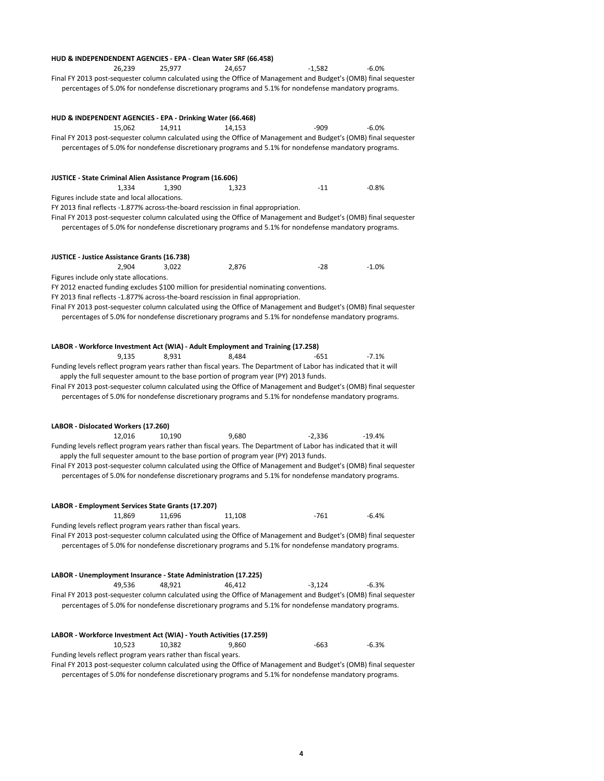|                                                                |        |        | HUD & INDEPENDENDENT AGENCIES - EPA - Clean Water SRF (66.458)                                                                                                                                                            |          |          |
|----------------------------------------------------------------|--------|--------|---------------------------------------------------------------------------------------------------------------------------------------------------------------------------------------------------------------------------|----------|----------|
|                                                                | 26,239 | 25.977 | 24,657                                                                                                                                                                                                                    | $-1,582$ | $-6.0%$  |
|                                                                |        |        | Final FY 2013 post-sequester column calculated using the Office of Management and Budget's (OMB) final sequester<br>percentages of 5.0% for nondefense discretionary programs and 5.1% for nondefense mandatory programs. |          |          |
|                                                                |        |        |                                                                                                                                                                                                                           |          |          |
| HUD & INDEPENDENT AGENCIES - EPA - Drinking Water (66.468)     | 15,062 | 14,911 | 14,153                                                                                                                                                                                                                    | $-909$   | $-6.0%$  |
|                                                                |        |        | Final FY 2013 post-sequester column calculated using the Office of Management and Budget's (OMB) final sequester<br>percentages of 5.0% for nondefense discretionary programs and 5.1% for nondefense mandatory programs. |          |          |
|                                                                |        |        |                                                                                                                                                                                                                           |          |          |
| JUSTICE - State Criminal Alien Assistance Program (16.606)     |        |        |                                                                                                                                                                                                                           |          |          |
|                                                                | 1,334  | 1,390  | 1,323                                                                                                                                                                                                                     | $-11$    | $-0.8%$  |
| Figures include state and local allocations.                   |        |        | FY 2013 final reflects -1.877% across-the-board rescission in final appropriation.                                                                                                                                        |          |          |
|                                                                |        |        | Final FY 2013 post-sequester column calculated using the Office of Management and Budget's (OMB) final sequester                                                                                                          |          |          |
|                                                                |        |        | percentages of 5.0% for nondefense discretionary programs and 5.1% for nondefense mandatory programs.                                                                                                                     |          |          |
| <b>JUSTICE - Justice Assistance Grants (16.738)</b>            |        |        |                                                                                                                                                                                                                           |          |          |
|                                                                | 2,904  | 3,022  | 2,876                                                                                                                                                                                                                     | -28      | $-1.0%$  |
| Figures include only state allocations.                        |        |        |                                                                                                                                                                                                                           |          |          |
|                                                                |        |        | FY 2012 enacted funding excludes \$100 million for presidential nominating conventions.                                                                                                                                   |          |          |
|                                                                |        |        | FY 2013 final reflects -1.877% across-the-board rescission in final appropriation.                                                                                                                                        |          |          |
|                                                                |        |        | Final FY 2013 post-sequester column calculated using the Office of Management and Budget's (OMB) final sequester                                                                                                          |          |          |
|                                                                |        |        | percentages of 5.0% for nondefense discretionary programs and 5.1% for nondefense mandatory programs.                                                                                                                     |          |          |
|                                                                |        |        | LABOR - Workforce Investment Act (WIA) - Adult Employment and Training (17.258)                                                                                                                                           |          |          |
|                                                                | 9,135  | 8,931  | 8,484                                                                                                                                                                                                                     | -651     | $-7.1%$  |
|                                                                |        |        | Funding levels reflect program years rather than fiscal years. The Department of Labor has indicated that it will                                                                                                         |          |          |
|                                                                |        |        | apply the full sequester amount to the base portion of program year (PY) 2013 funds.                                                                                                                                      |          |          |
|                                                                |        |        | Final FY 2013 post-sequester column calculated using the Office of Management and Budget's (OMB) final sequester                                                                                                          |          |          |
|                                                                |        |        | percentages of 5.0% for nondefense discretionary programs and 5.1% for nondefense mandatory programs.                                                                                                                     |          |          |
|                                                                |        |        |                                                                                                                                                                                                                           |          |          |
| LABOR - Dislocated Workers (17.260)                            |        |        |                                                                                                                                                                                                                           |          |          |
|                                                                | 12,016 | 10,190 | 9,680<br>Funding levels reflect program years rather than fiscal years. The Department of Labor has indicated that it will                                                                                                | $-2,336$ | $-19.4%$ |
|                                                                |        |        | apply the full sequester amount to the base portion of program year (PY) 2013 funds.                                                                                                                                      |          |          |
|                                                                |        |        | Final FY 2013 post-sequester column calculated using the Office of Management and Budget's (OMB) final sequester                                                                                                          |          |          |
|                                                                |        |        | percentages of 5.0% for nondefense discretionary programs and 5.1% for nondefense mandatory programs.                                                                                                                     |          |          |
|                                                                |        |        |                                                                                                                                                                                                                           |          |          |
| LABOR - Employment Services State Grants (17.207)              |        |        |                                                                                                                                                                                                                           |          |          |
|                                                                | 11,869 | 11,696 | 11,108                                                                                                                                                                                                                    | $-761$   | $-6.4%$  |
| Funding levels reflect program years rather than fiscal years. |        |        |                                                                                                                                                                                                                           |          |          |
|                                                                |        |        | Final FY 2013 post-sequester column calculated using the Office of Management and Budget's (OMB) final sequester                                                                                                          |          |          |
|                                                                |        |        | percentages of 5.0% for nondefense discretionary programs and 5.1% for nondefense mandatory programs.                                                                                                                     |          |          |
|                                                                |        |        | LABOR - Unemployment Insurance - State Administration (17.225)                                                                                                                                                            |          |          |
|                                                                | 49,536 | 48,921 | 46,412                                                                                                                                                                                                                    | $-3,124$ | $-6.3%$  |
|                                                                |        |        | Final FY 2013 post-sequester column calculated using the Office of Management and Budget's (OMB) final sequester                                                                                                          |          |          |
|                                                                |        |        | percentages of 5.0% for nondefense discretionary programs and 5.1% for nondefense mandatory programs.                                                                                                                     |          |          |
|                                                                |        |        |                                                                                                                                                                                                                           |          |          |
|                                                                | 10,523 | 10,382 | LABOR - Workforce Investment Act (WIA) - Youth Activities (17.259)<br>9,860                                                                                                                                               | -663     | $-6.3%$  |
| Funding levels reflect program years rather than fiscal years. |        |        |                                                                                                                                                                                                                           |          |          |
|                                                                |        |        | Final FY 2013 post-sequester column calculated using the Office of Management and Budget's (OMB) final sequester                                                                                                          |          |          |
|                                                                |        |        | percentages of 5.0% for nondefense discretionary programs and 5.1% for nondefense mandatory programs.                                                                                                                     |          |          |

4